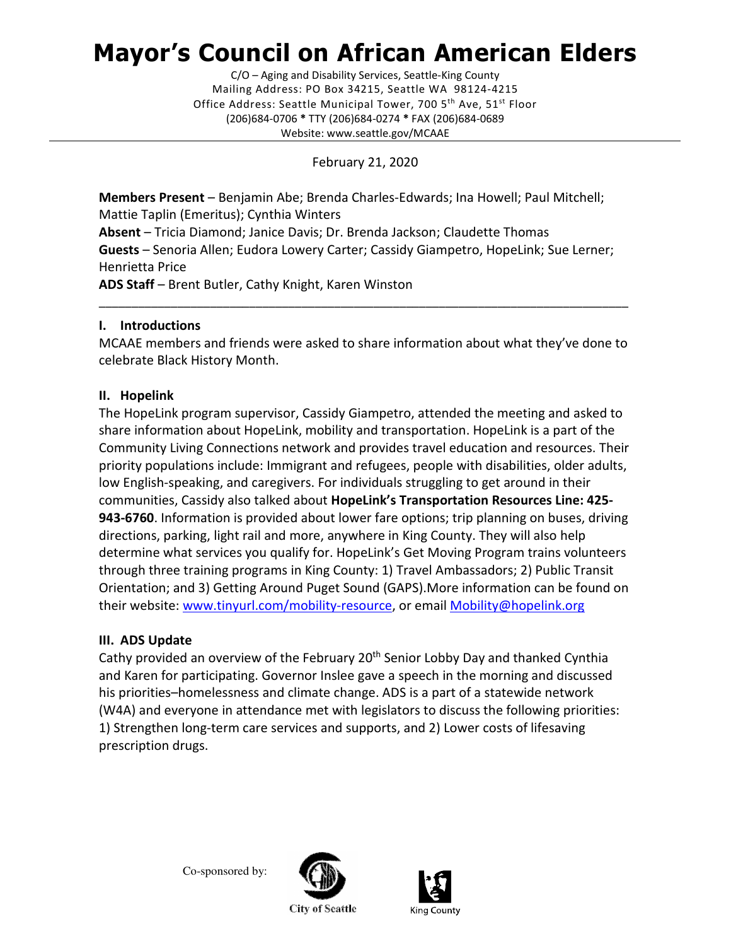# Mayor's Council on African American Elders

 Mailing Address: PO Box 34215, Seattle WA 98124-4215 Office Address: Seattle Municipal Tower, 700 5<sup>th</sup> Ave, 51<sup>st</sup> Floor (206)684-0706 \* TTY (206)684-0274 \* FAX (206)684-0689 C/O – Aging and Disability Services, Seattle-King County Website: <www.seattle.gov/MCAAE>

February 21, 2020

Members Present - Benjamin Abe; Brenda Charles-Edwards; Ina Howell; Paul Mitchell; Mattie Taplin (Emeritus); Cynthia Winters

Absent - Tricia Diamond; Janice Davis; Dr. Brenda Jackson; Claudette Thomas Guests - Senoria Allen; Eudora Lowery Carter; Cassidy Giampetro, HopeLink; Sue Lerner; Henrietta Price

ADS Staff - Brent Butler, Cathy Knight, Karen Winston

# I. Introductions

 MCAAE members and friends were asked to share information about what they've done to celebrate Black History Month.

\_\_\_\_\_\_\_\_\_\_\_\_\_\_\_\_\_\_\_\_\_\_\_\_\_\_\_\_\_\_\_\_\_\_\_\_\_\_\_\_\_\_\_\_\_\_\_\_\_\_\_\_\_\_\_\_\_\_\_\_\_\_\_\_\_\_\_\_\_\_\_\_\_\_\_\_\_\_\_\_\_

## II. Hopelink

 The HopeLink program supervisor, Cassidy Giampetro, attended the meeting and asked to share information about HopeLink, mobility and transportation. HopeLink is a part of the Community Living Connections network and provides travel education and resources. Their priority populations include: Immigrant and refugees, people with disabilities, older adults, low English-speaking, and caregivers. For individuals struggling to get around in their communities, Cassidy also talked about HopeLink's Transportation Resources Line: 425-943-6760. Information is provided about lower fare options; trip planning on buses, driving directions, parking, light rail and more, anywhere in King County. They will also help determine what services you qualify for. HopeLink's Get Moving Program trains volunteers through three training programs in King County: 1) Travel Ambassadors; 2) Public Transit Orientation; and 3) Getting Around Puget Sound (GAPS).More information can be found on their website:<www.tinyurl.com/mobility-resource>, or email Mobility@hopelink.org

# III. ADS Update

Cathy provided an overview of the February 20<sup>th</sup> Senior Lobby Day and thanked Cynthia and Karen for participating. Governor Inslee gave a speech in the morning and discussed his priorities–homelessness and climate change. ADS is a part of a statewide network (W4A) and everyone in attendance met with legislators to discuss the following priorities: 1) Strengthen long-term care services and supports, and 2) Lower costs of lifesaving prescription drugs.

Co-sponsored by:





**City of Seattle**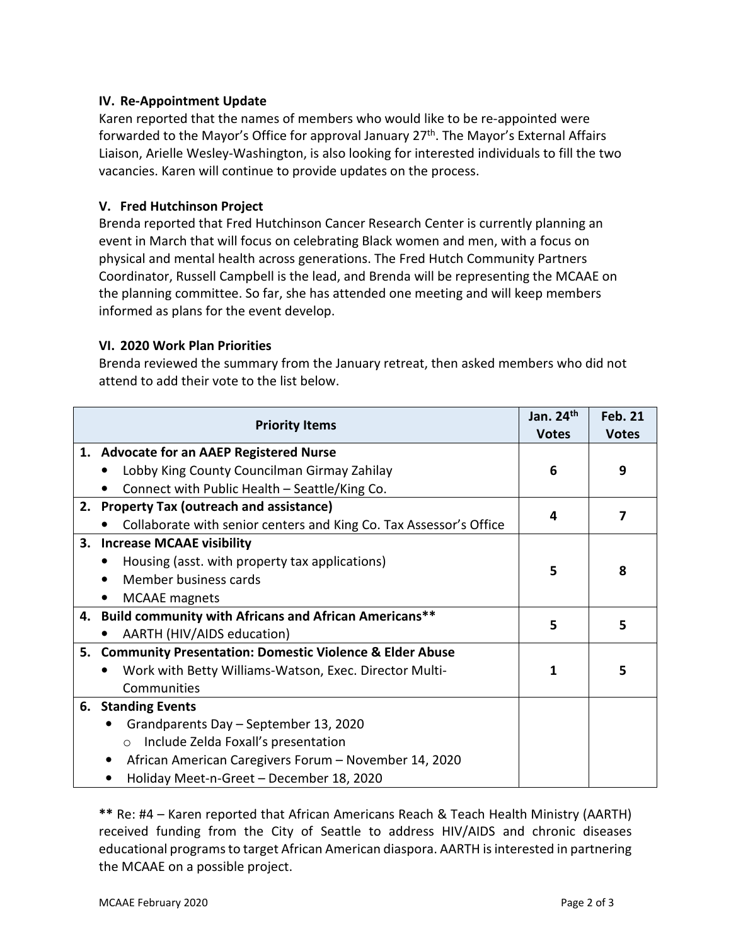## IV. Re-Appointment Update

 Karen reported that the names of members who would like to be re-appointed were forwarded to the Mayor's Office for approval January 27<sup>th</sup>. The Mayor's External Affairs Liaison, Arielle Wesley-Washington, is also looking for interested individuals to fill the two vacancies. Karen will continue to provide updates on the process.

## V. Fred Hutchinson Project

 Brenda reported that Fred Hutchinson Cancer Research Center is currently planning an event in March that will focus on celebrating Black women and men, with a focus on physical and mental health across generations. The Fred Hutch Community Partners Coordinator, Russell Campbell is the lead, and Brenda will be representing the MCAAE on the planning committee. So far, she has attended one meeting and will keep members informed as plans for the event develop.

## VI. 2020 Work Plan Priorities

 Brenda reviewed the summary from the January retreat, then asked members who did not attend to add their vote to the list below.

|    | <b>Priority Items</b>                                              | Jan. $24th$<br><b>Votes</b> | <b>Feb. 21</b><br><b>Votes</b> |
|----|--------------------------------------------------------------------|-----------------------------|--------------------------------|
|    | 1. Advocate for an AAEP Registered Nurse                           |                             |                                |
|    | Lobby King County Councilman Girmay Zahilay                        | 6                           | 9                              |
|    | Connect with Public Health - Seattle/King Co.                      |                             |                                |
|    | 2. Property Tax (outreach and assistance)                          | 7<br>4                      |                                |
|    | Collaborate with senior centers and King Co. Tax Assessor's Office |                             |                                |
| 3. | <b>Increase MCAAE visibility</b>                                   |                             |                                |
|    | Housing (asst. with property tax applications)<br>٠                | 5                           | 8                              |
|    | Member business cards                                              |                             |                                |
|    | <b>MCAAE</b> magnets<br>$\bullet$                                  |                             |                                |
|    | 4. Build community with Africans and African Americans**           | 5                           | 5                              |
|    | AARTH (HIV/AIDS education)                                         |                             |                                |
|    | 5. Community Presentation: Domestic Violence & Elder Abuse         |                             |                                |
|    | Work with Betty Williams-Watson, Exec. Director Multi-             | 1                           | 5                              |
|    | Communities                                                        |                             |                                |
|    | 6. Standing Events                                                 |                             |                                |
|    | Grandparents Day - September 13, 2020                              |                             |                                |
|    | Include Zelda Foxall's presentation<br>$\circ$                     |                             |                                |
|    | African American Caregivers Forum - November 14, 2020<br>$\bullet$ |                             |                                |
|    | Holiday Meet-n-Greet - December 18, 2020                           |                             |                                |

 \*\* Re: #4 – Karen reported that African Americans Reach & Teach Health Ministry (AARTH) received funding from the City of Seattle to address HIV/AIDS and chronic diseases educational programs to target African American diaspora. AARTH is interested in partnering the MCAAE on a possible project.